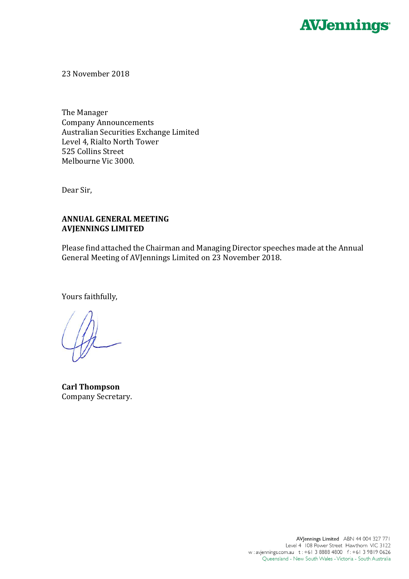

23 November 2018

The Manager Company Announcements Australian Securities Exchange Limited Level 4, Rialto North Tower 525 Collins Street Melbourne Vic 3000.

Dear Sir,

# **ANNUAL GENERAL MEETING AVJENNINGS LIMITED**

Please find attached the Chairman and Managing Director speeches made at the Annual General Meeting of AVJennings Limited on 23 November 2018.

Yours faithfully,

**Carl Thompson** Company Secretary.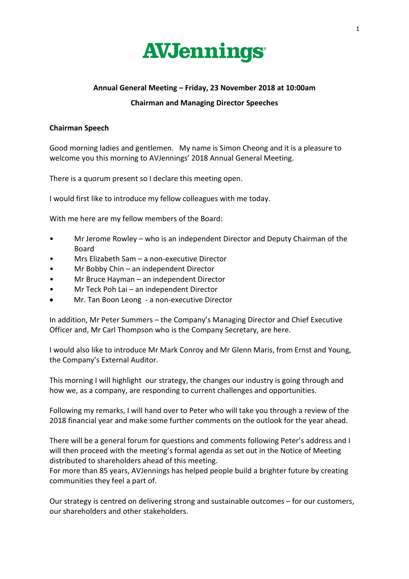

# **Annual General Meeting – Friday, 23 November 2018 at 10:00am**

#### **Chairman and Managing Director Speeches**

### **Chairman Speech**

Good morning ladies and gentlemen. My name is Simon Cheong and it is a pleasure to welcome you this morning to AVJennings' 2018 Annual General Meeting.

There is a quorum present so I declare this meeting open.

I would first like to introduce my fellow colleagues with me today.

With me here are my fellow members of the Board:

- Mr Jerome Rowley who is an independent Director and Deputy Chairman of the Board
- Mrs Elizabeth Sam a non-executive Director
- Mr Bobby Chin an independent Director
- Mr Bruce Hayman an independent Director
- Mr Teck Poh Lai an independent Director
- Mr. Tan Boon Leong a non-executive Director

In addition, Mr Peter Summers – the Company's Managing Director and Chief Executive Officer and, Mr Carl Thompson who is the Company Secretary, are here.

I would also like to introduce Mr Mark Conroy and Mr Glenn Maris, from Ernst and Young, the Company's External Auditor.

This morning I will highlight our strategy, the changes our industry is going through and how we, as a company, are responding to current challenges and opportunities.

Following my remarks, I will hand over to Peter who will take you through a review of the 2018 financial year and make some further comments on the outlook for the year ahead.

There will be a general forum for questions and comments following Peter's address and I will then proceed with the meeting's formal agenda as set out in the Notice of Meeting distributed to shareholders ahead of this meeting.

For more than 85 years, AVJennings has helped people build a brighter future by creating communities they feel a part of.

Our strategy is centred on delivering strong and sustainable outcomes – for our customers, our shareholders and other stakeholders.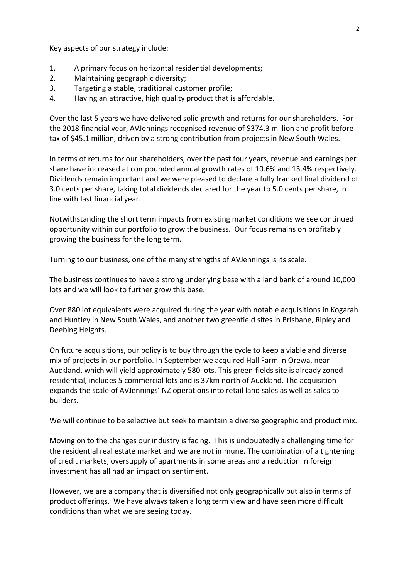Key aspects of our strategy include:

- 1. A primary focus on horizontal residential developments;
- 2. Maintaining geographic diversity;
- 3. Targeting a stable, traditional customer profile;
- 4. Having an attractive, high quality product that is affordable.

Over the last 5 years we have delivered solid growth and returns for our shareholders. For the 2018 financial year, AVJennings recognised revenue of \$374.3 million and profit before tax of \$45.1 million, driven by a strong contribution from projects in New South Wales.

In terms of returns for our shareholders, over the past four years, revenue and earnings per share have increased at compounded annual growth rates of 10.6% and 13.4% respectively. Dividends remain important and we were pleased to declare a fully franked final dividend of 3.0 cents per share, taking total dividends declared for the year to 5.0 cents per share, in line with last financial year.

Notwithstanding the short term impacts from existing market conditions we see continued opportunity within our portfolio to grow the business. Our focus remains on profitably growing the business for the long term.

Turning to our business, one of the many strengths of AVJennings is its scale.

The business continues to have a strong underlying base with a land bank of around 10,000 lots and we will look to further grow this base.

Over 880 lot equivalents were acquired during the year with notable acquisitions in Kogarah and Huntley in New South Wales, and another two greenfield sites in Brisbane, Ripley and Deebing Heights.

On future acquisitions, our policy is to buy through the cycle to keep a viable and diverse mix of projects in our portfolio. In September we acquired Hall Farm in Orewa, near Auckland, which will yield approximately 580 lots. This green-fields site is already zoned residential, includes 5 commercial lots and is 37km north of Auckland. The acquisition expands the scale of AVJennings' NZ operations into retail land sales as well as sales to builders.

We will continue to be selective but seek to maintain a diverse geographic and product mix.

Moving on to the changes our industry is facing. This is undoubtedly a challenging time for the residential real estate market and we are not immune. The combination of a tightening of credit markets, oversupply of apartments in some areas and a reduction in foreign investment has all had an impact on sentiment.

However, we are a company that is diversified not only geographically but also in terms of product offerings. We have always taken a long term view and have seen more difficult conditions than what we are seeing today.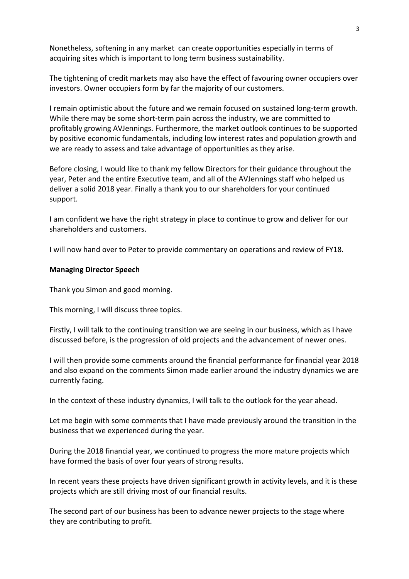Nonetheless, softening in any market can create opportunities especially in terms of acquiring sites which is important to long term business sustainability.

The tightening of credit markets may also have the effect of favouring owner occupiers over investors. Owner occupiers form by far the majority of our customers.

I remain optimistic about the future and we remain focused on sustained long-term growth. While there may be some short-term pain across the industry, we are committed to profitably growing AVJennings. Furthermore, the market outlook continues to be supported by positive economic fundamentals, including low interest rates and population growth and we are ready to assess and take advantage of opportunities as they arise.

Before closing, I would like to thank my fellow Directors for their guidance throughout the year, Peter and the entire Executive team, and all of the AVJennings staff who helped us deliver a solid 2018 year. Finally a thank you to our shareholders for your continued support.

I am confident we have the right strategy in place to continue to grow and deliver for our shareholders and customers.

I will now hand over to Peter to provide commentary on operations and review of FY18.

#### **Managing Director Speech**

Thank you Simon and good morning.

This morning, I will discuss three topics.

Firstly, I will talk to the continuing transition we are seeing in our business, which as I have discussed before, is the progression of old projects and the advancement of newer ones.

I will then provide some comments around the financial performance for financial year 2018 and also expand on the comments Simon made earlier around the industry dynamics we are currently facing.

In the context of these industry dynamics, I will talk to the outlook for the year ahead.

Let me begin with some comments that I have made previously around the transition in the business that we experienced during the year.

During the 2018 financial year, we continued to progress the more mature projects which have formed the basis of over four years of strong results.

In recent years these projects have driven significant growth in activity levels, and it is these projects which are still driving most of our financial results.

The second part of our business has been to advance newer projects to the stage where they are contributing to profit.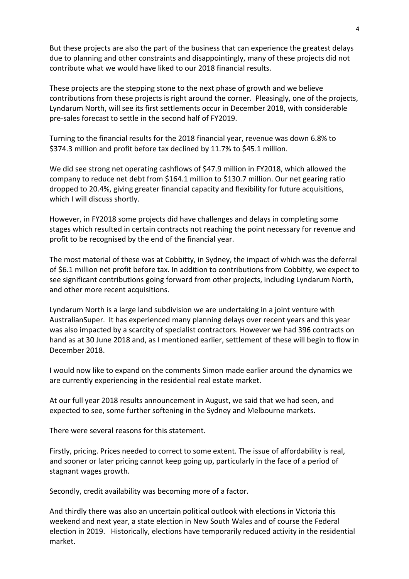But these projects are also the part of the business that can experience the greatest delays due to planning and other constraints and disappointingly, many of these projects did not contribute what we would have liked to our 2018 financial results.

These projects are the stepping stone to the next phase of growth and we believe contributions from these projects is right around the corner. Pleasingly, one of the projects, Lyndarum North, will see its first settlements occur in December 2018, with considerable pre-sales forecast to settle in the second half of FY2019.

Turning to the financial results for the 2018 financial year, revenue was down 6.8% to \$374.3 million and profit before tax declined by 11.7% to \$45.1 million.

We did see strong net operating cashflows of \$47.9 million in FY2018, which allowed the company to reduce net debt from \$164.1 million to \$130.7 million. Our net gearing ratio dropped to 20.4%, giving greater financial capacity and flexibility for future acquisitions, which I will discuss shortly.

However, in FY2018 some projects did have challenges and delays in completing some stages which resulted in certain contracts not reaching the point necessary for revenue and profit to be recognised by the end of the financial year.

The most material of these was at Cobbitty, in Sydney, the impact of which was the deferral of \$6.1 million net profit before tax. In addition to contributions from Cobbitty, we expect to see significant contributions going forward from other projects, including Lyndarum North, and other more recent acquisitions.

Lyndarum North is a large land subdivision we are undertaking in a joint venture with AustralianSuper. It has experienced many planning delays over recent years and this year was also impacted by a scarcity of specialist contractors. However we had 396 contracts on hand as at 30 June 2018 and, as I mentioned earlier, settlement of these will begin to flow in December 2018.

I would now like to expand on the comments Simon made earlier around the dynamics we are currently experiencing in the residential real estate market.

At our full year 2018 results announcement in August, we said that we had seen, and expected to see, some further softening in the Sydney and Melbourne markets.

There were several reasons for this statement.

Firstly, pricing. Prices needed to correct to some extent. The issue of affordability is real, and sooner or later pricing cannot keep going up, particularly in the face of a period of stagnant wages growth.

Secondly, credit availability was becoming more of a factor.

And thirdly there was also an uncertain political outlook with elections in Victoria this weekend and next year, a state election in New South Wales and of course the Federal election in 2019. Historically, elections have temporarily reduced activity in the residential market.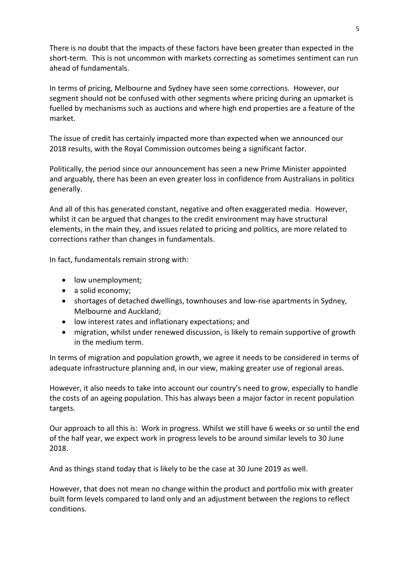There is no doubt that the impacts of these factors have been greater than expected in the short-term. This is not uncommon with markets correcting as sometimes sentiment can run ahead of fundamentals.

In terms of pricing, Melbourne and Sydney have seen some corrections. However, our segment should not be confused with other segments where pricing during an upmarket is fuelled by mechanisms such as auctions and where high end properties are a feature of the market.

The issue of credit has certainly impacted more than expected when we announced our 2018 results, with the Royal Commission outcomes being a significant factor.

Politically, the period since our announcement has seen a new Prime Minister appointed and arguably, there has been an even greater loss in confidence from Australians in politics generally.

And all of this has generated constant, negative and often exaggerated media. However, whilst it can be argued that changes to the credit environment may have structural elements, in the main they, and issues related to pricing and politics, are more related to corrections rather than changes in fundamentals.

In fact, fundamentals remain strong with:

- low unemployment;
- a solid economy;
- shortages of detached dwellings, townhouses and low-rise apartments in Sydney, Melbourne and Auckland;
- low interest rates and inflationary expectations; and
- migration, whilst under renewed discussion, is likely to remain supportive of growth in the medium term.

In terms of migration and population growth, we agree it needs to be considered in terms of adequate infrastructure planning and, in our view, making greater use of regional areas.

However, it also needs to take into account our country's need to grow, especially to handle the costs of an ageing population. This has always been a major factor in recent population targets.

Our approach to all this is: Work in progress. Whilst we still have 6 weeks or so until the end of the half year, we expect work in progress levels to be around similar levels to 30 June 2018.

And as things stand today that is likely to be the case at 30 June 2019 as well.

However, that does not mean no change within the product and portfolio mix with greater built form levels compared to land only and an adjustment between the regions to reflect conditions.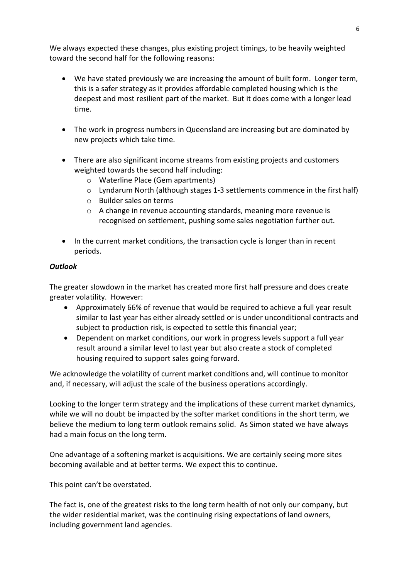We always expected these changes, plus existing project timings, to be heavily weighted toward the second half for the following reasons:

- We have stated previously we are increasing the amount of built form. Longer term, this is a safer strategy as it provides affordable completed housing which is the deepest and most resilient part of the market. But it does come with a longer lead time.
- The work in progress numbers in Queensland are increasing but are dominated by new projects which take time.
- There are also significant income streams from existing projects and customers weighted towards the second half including:
	- o Waterline Place (Gem apartments)
	- $\circ$  Lyndarum North (although stages 1-3 settlements commence in the first half)
	- o Builder sales on terms
	- o A change in revenue accounting standards, meaning more revenue is recognised on settlement, pushing some sales negotiation further out.
- In the current market conditions, the transaction cycle is longer than in recent periods.

# *Outlook*

The greater slowdown in the market has created more first half pressure and does create greater volatility. However:

- Approximately 66% of revenue that would be required to achieve a full year result similar to last year has either already settled or is under unconditional contracts and subject to production risk, is expected to settle this financial year;
- Dependent on market conditions, our work in progress levels support a full year result around a similar level to last year but also create a stock of completed housing required to support sales going forward.

We acknowledge the volatility of current market conditions and, will continue to monitor and, if necessary, will adjust the scale of the business operations accordingly.

Looking to the longer term strategy and the implications of these current market dynamics, while we will no doubt be impacted by the softer market conditions in the short term, we believe the medium to long term outlook remains solid. As Simon stated we have always had a main focus on the long term.

One advantage of a softening market is acquisitions. We are certainly seeing more sites becoming available and at better terms. We expect this to continue.

This point can't be overstated.

The fact is, one of the greatest risks to the long term health of not only our company, but the wider residential market, was the continuing rising expectations of land owners, including government land agencies.